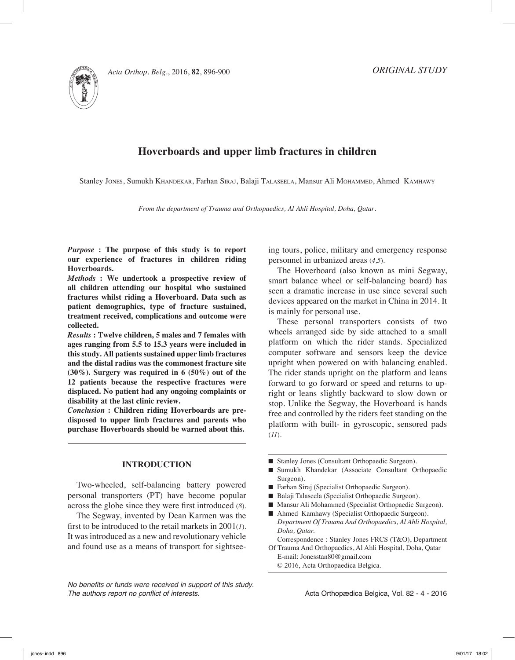



# **Hoverboards and upper limb fractures in children**

Stanley JONES, Sumukh KHANDEKAR, Farhan SIRAJ, Balaji TALASEELA, Mansur Ali MOHAMMED, Ahmed KAMHAWY

*From the department of Trauma and Orthopaedics, Al Ahli Hospital, Doha, Qatar.*

*Purpose* **: The purpose of this study is to report our experience of fractures in children riding Hoverboards.**

*Methods* **: We undertook a prospective review of all children attending our hospital who sustained fractures whilst riding a Hoverboard. Data such as patient demographics, type of fracture sustained, treatment received, complications and outcome were collected.**

*Results* **: Twelve children, 5 males and 7 females with ages ranging from 5.5 to 15.3 years were included in this study. All patients sustained upper limb fractures and the distal radius was the commonest fracture site (30%). Surgery was required in 6 (50%) out of the 12 patients because the respective fractures were displaced. No patient had any ongoing complaints or disability at the last clinic review.** 

*Conclusion* **: Children riding Hoverboards are predisposed to upper limb fractures and parents who purchase Hoverboards should be warned about this.**

## **Introduction**

Two-wheeled, self-balancing battery powered personal transporters (PT) have become popular across the globe since they were first introduced (*8*).

The Segway, invented by Dean Karmen was the first to be introduced to the retail markets in 2001(*1*). It was introduced as a new and revolutionary vehicle and found use as a means of transport for sightsee-

*No benefits or funds were received in support of this study. The authors report no conflict of interests.* 

ing tours, police, military and emergency response personnel in urbanized areas (*4,5*).

The Hoverboard (also known as mini Segway, smart balance wheel or self-balancing board) has seen a dramatic increase in use since several such devices appeared on the market in China in 2014. It is mainly for personal use.

These personal transporters consists of two wheels arranged side by side attached to a small platform on which the rider stands. Specialized computer software and sensors keep the device upright when powered on with balancing enabled. The rider stands upright on the platform and leans forward to go forward or speed and returns to upright or leans slightly backward to slow down or stop. Unlike the Segway, the Hoverboard is hands free and controlled by the riders feet standing on the platform with built- in gyroscopic, sensored pads (*11*).

- Stanley Jones (Consultant Orthopaedic Surgeon).
- Sumukh Khandekar (Associate Consultant Orthopaedic Surgeon).
- $\blacksquare$  Farhan Siraj (Specialist Orthopaedic Surgeon).
- Balaji Talaseela (Specialist Orthopaedic Surgeon).
- Mansur Ali Mohammed (Specialist Orthopaedic Surgeon).
- Ahmed Kamhawy (Specialist Orthopaedic Surgeon). *Department Of Trauma And Orthopaedics, Al Ahli Hospital, Doha, Qatar.*

Correspondence : Stanley Jones FRCS (T&O), Department Of Trauma And Orthopaedics, Al Ahli Hospital, Doha, Qatar

E-mail: Jonesstan80@gmail.com © 2016, Acta Orthopaedica Belgica.

Acta Orthopædica Belgica, Vol. 82 - 4 - 2016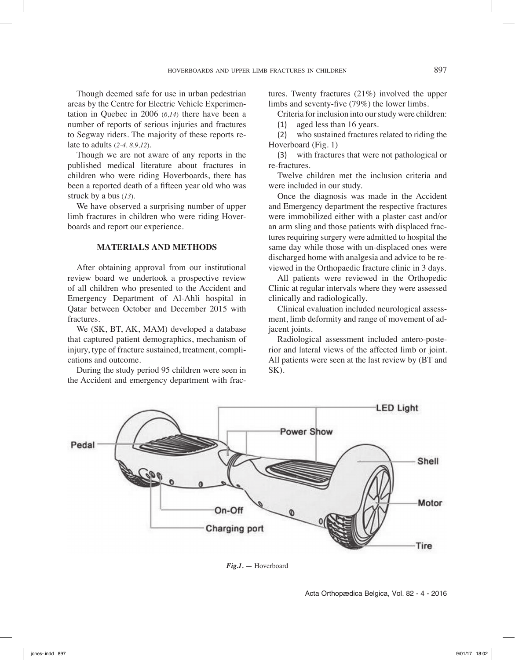Though deemed safe for use in urban pedestrian areas by the Centre for Electric Vehicle Experimentation in Quebec in 2006 (*6,14*) there have been a number of reports of serious injuries and fractures to Segway riders. The majority of these reports relate to adults (*2-4, 8,9,12*).

Though we are not aware of any reports in the published medical literature about fractures in children who were riding Hoverboards, there has been a reported death of a fifteen year old who was struck by a bus (*13*).

We have observed a surprising number of upper limb fractures in children who were riding Hoverboards and report our experience.

# **Materials and Methods**

After obtaining approval from our institutional review board we undertook a prospective review of all children who presented to the Accident and Emergency Department of Al-Ahli hospital in Qatar between October and December 2015 with fractures.

We (SK, BT, AK, MAM) developed a database that captured patient demographics, mechanism of injury, type of fracture sustained, treatment, complications and outcome.

During the study period 95 children were seen in the Accident and emergency department with fractures. Twenty fractures (21%) involved the upper limbs and seventy-five (79%) the lower limbs.

Criteria for inclusion into our study were children:

(1) aged less than 16 years.

(2) who sustained fractures related to riding the Hoverboard (Fig. 1)

(3) with fractures that were not pathological or re-fractures.

Twelve children met the inclusion criteria and were included in our study.

Once the diagnosis was made in the Accident and Emergency department the respective fractures were immobilized either with a plaster cast and/or an arm sling and those patients with displaced fractures requiring surgery were admitted to hospital the same day while those with un-displaced ones were discharged home with analgesia and advice to be reviewed in the Orthopaedic fracture clinic in 3 days.

All patients were reviewed in the Orthopedic Clinic at regular intervals where they were assessed clinically and radiologically.

Clinical evaluation included neurological assessment, limb deformity and range of movement of adjacent joints.

Radiological assessment included antero-posterior and lateral views of the affected limb or joint. All patients were seen at the last review by (BT and SK).



*Fig.1.* — Hoverboard

Acta Orthopædica Belgica, Vol. 82 - 4 - 2016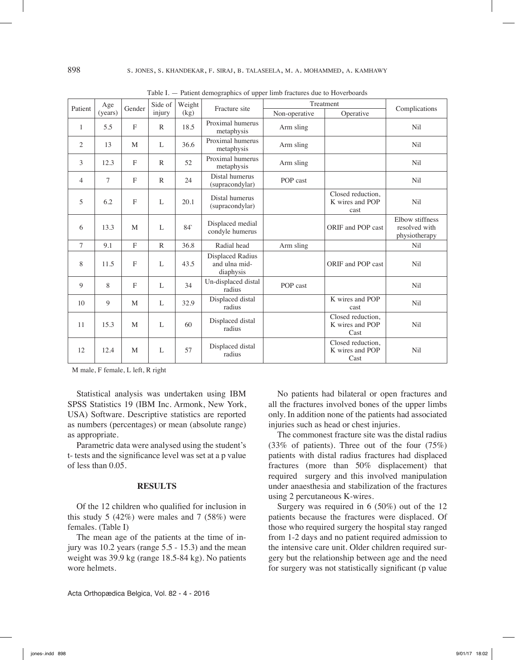| Patient      | Age<br>(years) | Gender         | Side of<br>injury | Weight<br>(kg)  | Fracture site                                  | Treatment     |                                              | Complications                                     |
|--------------|----------------|----------------|-------------------|-----------------|------------------------------------------------|---------------|----------------------------------------------|---------------------------------------------------|
|              |                |                |                   |                 |                                                | Non-operative | Operative                                    |                                                   |
| $\mathbf{1}$ | 5.5            | $\mathbf{F}$   | $\mathbb{R}$      | 18.5            | Proximal humerus<br>metaphysis                 | Arm sling     |                                              | Nil                                               |
| 2            | 13             | M              | L                 | 36.6            | Proximal humerus<br>metaphysis                 | Arm sling     |                                              | Nil                                               |
| 3            | 12.3           | $\mathbf{F}$   | $\mathbb{R}$      | 52              | Proximal humerus<br>metaphysis                 | Arm sling     |                                              | Nil                                               |
| 4            | 7              | $\mathbf{F}$   | $\mathbb{R}$      | 24              | Distal humerus<br>(supracondylar)              | POP cast      |                                              | Nil                                               |
| 5            | 6.2            | F              | L                 | 20.1            | Distal humerus<br>(supracondylar)              |               | Closed reduction,<br>K wires and POP<br>cast | Nil                                               |
| 6            | 13.3           | M              | L                 | 84 <sup>°</sup> | Displaced medial<br>condyle humerus            |               | ORIF and POP cast                            | Elbow stiffness<br>resolved with<br>physiotherapy |
| $\tau$       | 9.1            | $\overline{F}$ | $\mathbb{R}$      | 36.8            | Radial head                                    | Arm sling     |                                              | Nil                                               |
| 8            | 11.5           | F              | L                 | 43.5            | Displaced Radius<br>and ulna mid-<br>diaphysis |               | ORIF and POP cast                            | Nil                                               |
| 9            | 8              | F              | L                 | 34              | Un-displaced distal<br>radius                  | POP cast      |                                              | Nil                                               |
| 10           | 9              | M              | L                 | 32.9            | Displaced distal<br>radius                     |               | K wires and POP<br>cast                      | Nil                                               |
| 11           | 15.3           | M              | L                 | 60              | Displaced distal<br>radius                     |               | Closed reduction,<br>K wires and POP<br>Cast | Nil                                               |
| 12           | 12.4           | M              | L                 | 57              | Displaced distal<br>radius                     |               | Closed reduction.<br>K wires and POP<br>Cast | Nil                                               |

Table I. — Patient demographics of upper limb fractures due to Hoverboards

M male, F female, L left, R right

Statistical analysis was undertaken using IBM SPSS Statistics 19 (IBM Inc. Armonk, New York, USA) Software. Descriptive statistics are reported as numbers (percentages) or mean (absolute range) as appropriate.

Parametric data were analysed using the student's t- tests and the significance level was set at a p value of less than 0.05.

## **Results**

Of the 12 children who qualified for inclusion in this study 5  $(42\%)$  were males and 7  $(58\%)$  were females. (Table I)

The mean age of the patients at the time of injury was 10.2 years (range 5.5 - 15.3) and the mean weight was 39.9 kg (range 18.5-84 kg). No patients wore helmets.

Acta Orthopædica Belgica, Vol. 82 - 4 - 2016

No patients had bilateral or open fractures and all the fractures involved bones of the upper limbs only. In addition none of the patients had associated injuries such as head or chest injuries.

The commonest fracture site was the distal radius (33% of patients). Three out of the four (75%) patients with distal radius fractures had displaced fractures (more than 50% displacement) that required surgery and this involved manipulation under anaesthesia and stabilization of the fractures using 2 percutaneous K-wires.

Surgery was required in 6 (50%) out of the 12 patients because the fractures were displaced. Of those who required surgery the hospital stay ranged from 1-2 days and no patient required admission to the intensive care unit. Older children required surgery but the relationship between age and the need for surgery was not statistically significant (p value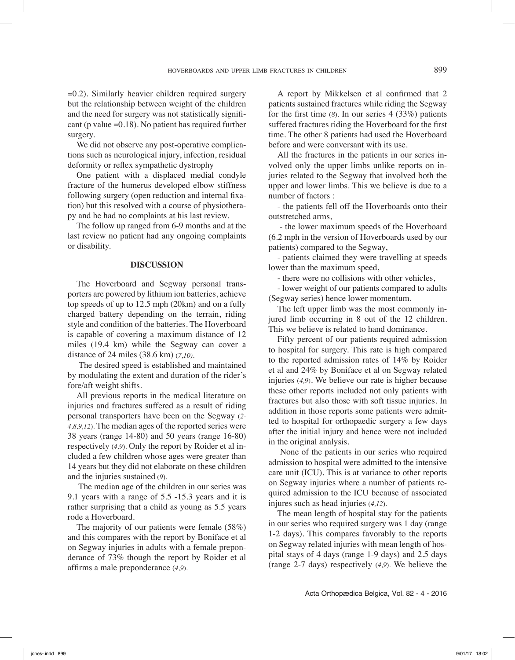$=0.2$ ). Similarly heavier children required surgery but the relationship between weight of the children and the need for surgery was not statistically significant (p value  $=0.18$ ). No patient has required further surgery.

We did not observe any post-operative complications such as neurological injury, infection, residual deformity or reflex sympathetic dystrophy

One patient with a displaced medial condyle fracture of the humerus developed elbow stiffness following surgery (open reduction and internal fixation) but this resolved with a course of physiotherapy and he had no complaints at his last review.

The follow up ranged from 6-9 months and at the last review no patient had any ongoing complaints or disability.

## **Discussion**

The Hoverboard and Segway personal transporters are powered by lithium ion batteries, achieve top speeds of up to 12.5 mph (20km) and on a fully charged battery depending on the terrain, riding style and condition of the batteries. The Hoverboard is capable of covering a maximum distance of 12 miles (19.4 km) while the Segway can cover a distance of 24 miles (38.6 km) (*7,10).*

 The desired speed is established and maintained by modulating the extent and duration of the rider's fore/aft weight shifts.

All previous reports in the medical literature on injuries and fractures suffered as a result of riding personal transporters have been on the Segway (*2- 4,8,9,12*). The median ages of the reported series were 38 years (range 14-80) and 50 years (range 16-80) respectively (*4,9*). Only the report by Roider et al included a few children whose ages were greater than 14 years but they did not elaborate on these children and the injuries sustained (*9*).

 The median age of the children in our series was 9.1 years with a range of 5.5 -15.3 years and it is rather surprising that a child as young as 5.5 years rode a Hoverboard.

The majority of our patients were female (58%) and this compares with the report by Boniface et al on Segway injuries in adults with a female preponderance of 73% though the report by Roider et al affirms a male preponderance (*4,9*).

A report by Mikkelsen et al confirmed that 2 patients sustained fractures while riding the Segway for the first time (*8*). In our series 4 (33%) patients suffered fractures riding the Hoverboard for the first time. The other 8 patients had used the Hoverboard before and were conversant with its use.

All the fractures in the patients in our series involved only the upper limbs unlike reports on injuries related to the Segway that involved both the upper and lower limbs. This we believe is due to a number of factors :

- the patients fell off the Hoverboards onto their outstretched arms,

 - the lower maximum speeds of the Hoverboard (6.2 mph in the version of Hoverboards used by our patients) compared to the Segway,

- patients claimed they were travelling at speeds lower than the maximum speed,

- there were no collisions with other vehicles,

- lower weight of our patients compared to adults (Segway series) hence lower momentum.

The left upper limb was the most commonly injured limb occurring in 8 out of the 12 children. This we believe is related to hand dominance.

Fifty percent of our patients required admission to hospital for surgery. This rate is high compared to the reported admission rates of 14% by Roider et al and 24% by Boniface et al on Segway related injuries (*4,9*). We believe our rate is higher because these other reports included not only patients with fractures but also those with soft tissue injuries. In addition in those reports some patients were admitted to hospital for orthopaedic surgery a few days after the initial injury and hence were not included in the original analysis.

 None of the patients in our series who required admission to hospital were admitted to the intensive care unit (ICU). This is at variance to other reports on Segway injuries where a number of patients required admission to the ICU because of associated injures such as head injuries (*4,12*).

The mean length of hospital stay for the patients in our series who required surgery was 1 day (range 1-2 days). This compares favorably to the reports on Segway related injuries with mean length of hospital stays of 4 days (range 1-9 days) and 2.5 days (range 2-7 days) respectively (*4,9*). We believe the